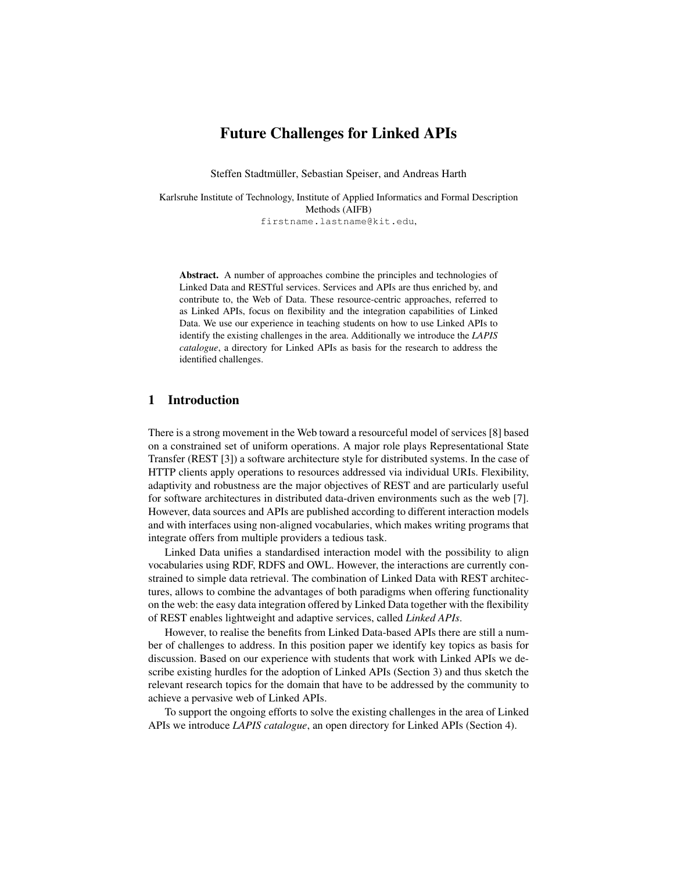# Future Challenges for Linked APIs

Steffen Stadtmüller, Sebastian Speiser, and Andreas Harth

Karlsruhe Institute of Technology, Institute of Applied Informatics and Formal Description Methods (AIFB) firstname.lastname@kit.edu,

Abstract. A number of approaches combine the principles and technologies of Linked Data and RESTful services. Services and APIs are thus enriched by, and contribute to, the Web of Data. These resource-centric approaches, referred to as Linked APIs, focus on flexibility and the integration capabilities of Linked Data. We use our experience in teaching students on how to use Linked APIs to identify the existing challenges in the area. Additionally we introduce the *LAPIS catalogue*, a directory for Linked APIs as basis for the research to address the identified challenges.

#### 1 Introduction

There is a strong movement in the Web toward a resourceful model of services [8] based on a constrained set of uniform operations. A major role plays Representational State Transfer (REST [3]) a software architecture style for distributed systems. In the case of HTTP clients apply operations to resources addressed via individual URIs. Flexibility, adaptivity and robustness are the major objectives of REST and are particularly useful for software architectures in distributed data-driven environments such as the web [7]. However, data sources and APIs are published according to different interaction models and with interfaces using non-aligned vocabularies, which makes writing programs that integrate offers from multiple providers a tedious task.

Linked Data unifies a standardised interaction model with the possibility to align vocabularies using RDF, RDFS and OWL. However, the interactions are currently constrained to simple data retrieval. The combination of Linked Data with REST architectures, allows to combine the advantages of both paradigms when offering functionality on the web: the easy data integration offered by Linked Data together with the flexibility of REST enables lightweight and adaptive services, called *Linked APIs*.

However, to realise the benefits from Linked Data-based APIs there are still a number of challenges to address. In this position paper we identify key topics as basis for discussion. Based on our experience with students that work with Linked APIs we describe existing hurdles for the adoption of Linked APIs (Section 3) and thus sketch the relevant research topics for the domain that have to be addressed by the community to achieve a pervasive web of Linked APIs.

To support the ongoing efforts to solve the existing challenges in the area of Linked APIs we introduce *LAPIS catalogue*, an open directory for Linked APIs (Section 4).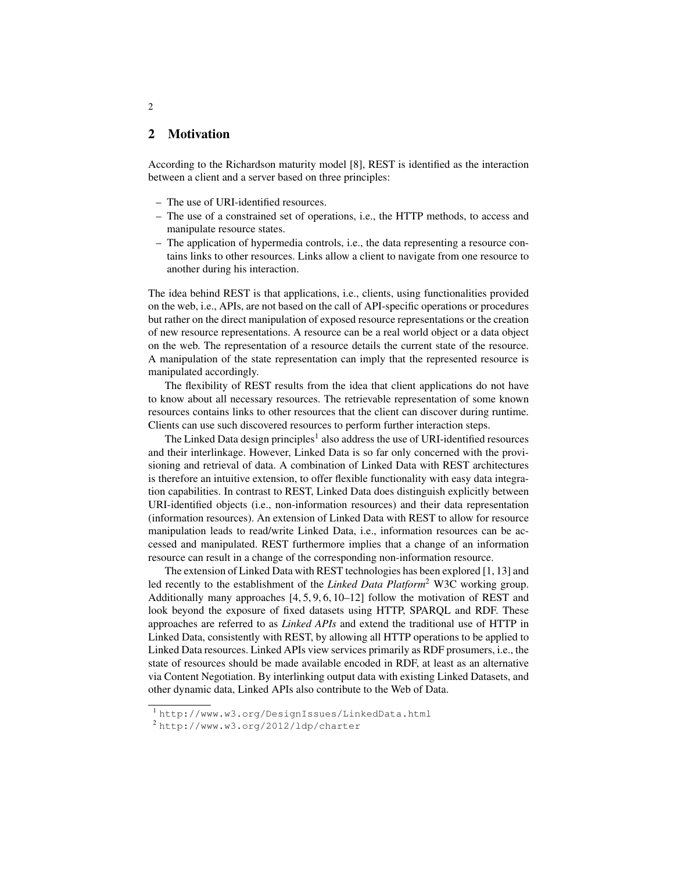### 2 Motivation

According to the Richardson maturity model [8], REST is identified as the interaction between a client and a server based on three principles:

- The use of URI-identified resources.
- The use of a constrained set of operations, i.e., the HTTP methods, to access and manipulate resource states.
- The application of hypermedia controls, i.e., the data representing a resource contains links to other resources. Links allow a client to navigate from one resource to another during his interaction.

The idea behind REST is that applications, i.e., clients, using functionalities provided on the web, i.e., APIs, are not based on the call of API-specific operations or procedures but rather on the direct manipulation of exposed resource representations or the creation of new resource representations. A resource can be a real world object or a data object on the web. The representation of a resource details the current state of the resource. A manipulation of the state representation can imply that the represented resource is manipulated accordingly.

The flexibility of REST results from the idea that client applications do not have to know about all necessary resources. The retrievable representation of some known resources contains links to other resources that the client can discover during runtime. Clients can use such discovered resources to perform further interaction steps.

The Linked Data design principles<sup>1</sup> also address the use of URI-identified resources and their interlinkage. However, Linked Data is so far only concerned with the provisioning and retrieval of data. A combination of Linked Data with REST architectures is therefore an intuitive extension, to offer flexible functionality with easy data integration capabilities. In contrast to REST, Linked Data does distinguish explicitly between URI-identified objects (i.e., non-information resources) and their data representation (information resources). An extension of Linked Data with REST to allow for resource manipulation leads to read/write Linked Data, i.e., information resources can be accessed and manipulated. REST furthermore implies that a change of an information resource can result in a change of the corresponding non-information resource.

The extension of Linked Data with REST technologies has been explored [1, 13] and led recently to the establishment of the *Linked Data Platform*<sup>2</sup> W3C working group. Additionally many approaches [4, 5, 9, 6, 10–12] follow the motivation of REST and look beyond the exposure of fixed datasets using HTTP, SPARQL and RDF. These approaches are referred to as *Linked APIs* and extend the traditional use of HTTP in Linked Data, consistently with REST, by allowing all HTTP operations to be applied to Linked Data resources. Linked APIs view services primarily as RDF prosumers, i.e., the state of resources should be made available encoded in RDF, at least as an alternative via Content Negotiation. By interlinking output data with existing Linked Datasets, and other dynamic data, Linked APIs also contribute to the Web of Data.

2

<sup>1</sup> http://www.w3.org/DesignIssues/LinkedData.html

<sup>2</sup> http://www.w3.org/2012/ldp/charter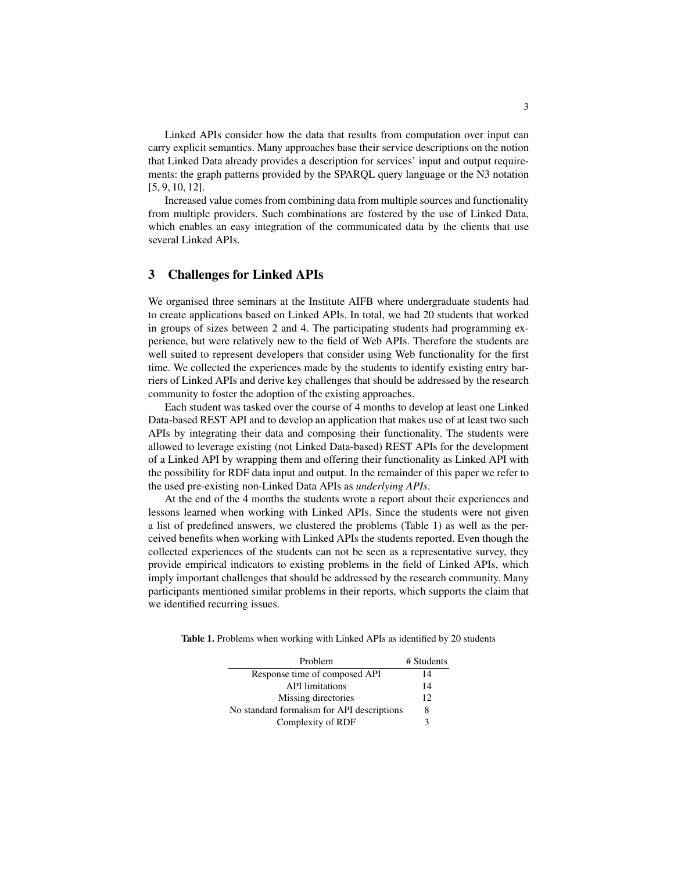Linked APIs consider how the data that results from computation over input can carry explicit semantics. Many approaches base their service descriptions on the notion that Linked Data already provides a description for services' input and output requirements: the graph patterns provided by the SPARQL query language or the N3 notation [5, 9, 10, 12].

Increased value comes from combining data from multiple sources and functionality from multiple providers. Such combinations are fostered by the use of Linked Data, which enables an easy integration of the communicated data by the clients that use several Linked APIs.

#### 3 Challenges for Linked APIs

We organised three seminars at the Institute AIFB where undergraduate students had to create applications based on Linked APIs. In total, we had 20 students that worked in groups of sizes between 2 and 4. The participating students had programming experience, but were relatively new to the field of Web APIs. Therefore the students are well suited to represent developers that consider using Web functionality for the first time. We collected the experiences made by the students to identify existing entry barriers of Linked APIs and derive key challenges that should be addressed by the research community to foster the adoption of the existing approaches.

Each student was tasked over the course of 4 months to develop at least one Linked Data-based REST API and to develop an application that makes use of at least two such APIs by integrating their data and composing their functionality. The students were allowed to leverage existing (not Linked Data-based) REST APIs for the development of a Linked API by wrapping them and offering their functionality as Linked API with the possibility for RDF data input and output. In the remainder of this paper we refer to the used pre-existing non-Linked Data APIs as *underlying APIs*.

At the end of the 4 months the students wrote a report about their experiences and lessons learned when working with Linked APIs. Since the students were not given a list of predefined answers, we clustered the problems (Table 1) as well as the perceived benefits when working with Linked APIs the students reported. Even though the collected experiences of the students can not be seen as a representative survey, they provide empirical indicators to existing problems in the field of Linked APIs, which imply important challenges that should be addressed by the research community. Many participants mentioned similar problems in their reports, which supports the claim that we identified recurring issues.

Table 1. Problems when working with Linked APIs as identified by 20 students

| Problem                                    | # Students |
|--------------------------------------------|------------|
| Response time of composed API              | 14         |
| <b>API</b> limitations                     | 14         |
| Missing directories                        | 12         |
| No standard formalism for API descriptions | 8          |
| Complexity of RDF                          | 3          |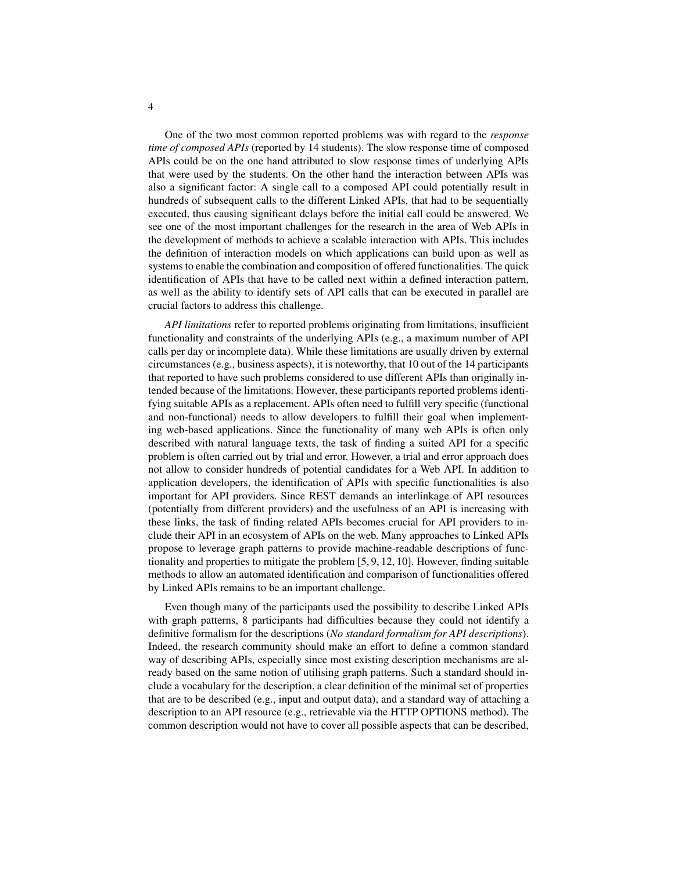One of the two most common reported problems was with regard to the *response time of composed APIs* (reported by 14 students). The slow response time of composed APIs could be on the one hand attributed to slow response times of underlying APIs that were used by the students. On the other hand the interaction between APIs was also a significant factor: A single call to a composed API could potentially result in hundreds of subsequent calls to the different Linked APIs, that had to be sequentially executed, thus causing significant delays before the initial call could be answered. We see one of the most important challenges for the research in the area of Web APIs in the development of methods to achieve a scalable interaction with APIs. This includes the definition of interaction models on which applications can build upon as well as systems to enable the combination and composition of offered functionalities. The quick identification of APIs that have to be called next within a defined interaction pattern, as well as the ability to identify sets of API calls that can be executed in parallel are crucial factors to address this challenge.

*API limitations* refer to reported problems originating from limitations, insufficient functionality and constraints of the underlying APIs (e.g., a maximum number of API calls per day or incomplete data). While these limitations are usually driven by external circumstances (e.g., business aspects), it is noteworthy, that 10 out of the 14 participants that reported to have such problems considered to use different APIs than originally intended because of the limitations. However, these participants reported problems identifying suitable APIs as a replacement. APIs often need to fulfill very specific (functional and non-functional) needs to allow developers to fulfill their goal when implementing web-based applications. Since the functionality of many web APIs is often only described with natural language texts, the task of finding a suited API for a specific problem is often carried out by trial and error. However, a trial and error approach does not allow to consider hundreds of potential candidates for a Web API. In addition to application developers, the identification of APIs with specific functionalities is also important for API providers. Since REST demands an interlinkage of API resources (potentially from different providers) and the usefulness of an API is increasing with these links, the task of finding related APIs becomes crucial for API providers to include their API in an ecosystem of APIs on the web. Many approaches to Linked APIs propose to leverage graph patterns to provide machine-readable descriptions of functionality and properties to mitigate the problem [5, 9, 12, 10]. However, finding suitable methods to allow an automated identification and comparison of functionalities offered by Linked APIs remains to be an important challenge.

Even though many of the participants used the possibility to describe Linked APIs with graph patterns, 8 participants had difficulties because they could not identify a definitive formalism for the descriptions (*No standard formalism for API descriptions*). Indeed, the research community should make an effort to define a common standard way of describing APIs, especially since most existing description mechanisms are already based on the same notion of utilising graph patterns. Such a standard should include a vocabulary for the description, a clear definition of the minimal set of properties that are to be described (e.g., input and output data), and a standard way of attaching a description to an API resource (e.g., retrievable via the HTTP OPTIONS method). The common description would not have to cover all possible aspects that can be described,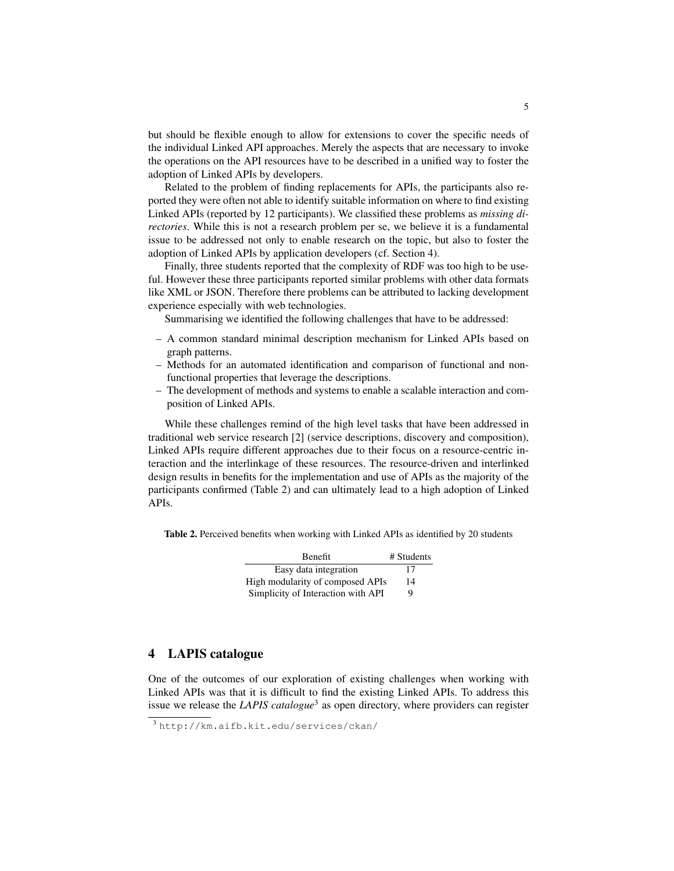but should be flexible enough to allow for extensions to cover the specific needs of the individual Linked API approaches. Merely the aspects that are necessary to invoke the operations on the API resources have to be described in a unified way to foster the adoption of Linked APIs by developers.

Related to the problem of finding replacements for APIs, the participants also reported they were often not able to identify suitable information on where to find existing Linked APIs (reported by 12 participants). We classified these problems as *missing directories*. While this is not a research problem per se, we believe it is a fundamental issue to be addressed not only to enable research on the topic, but also to foster the adoption of Linked APIs by application developers (cf. Section 4).

Finally, three students reported that the complexity of RDF was too high to be useful. However these three participants reported similar problems with other data formats like XML or JSON. Therefore there problems can be attributed to lacking development experience especially with web technologies.

Summarising we identified the following challenges that have to be addressed:

- A common standard minimal description mechanism for Linked APIs based on graph patterns.
- Methods for an automated identification and comparison of functional and nonfunctional properties that leverage the descriptions.
- The development of methods and systems to enable a scalable interaction and composition of Linked APIs.

While these challenges remind of the high level tasks that have been addressed in traditional web service research [2] (service descriptions, discovery and composition), Linked APIs require different approaches due to their focus on a resource-centric interaction and the interlinkage of these resources. The resource-driven and interlinked design results in benefits for the implementation and use of APIs as the majority of the participants confirmed (Table 2) and can ultimately lead to a high adoption of Linked APIs.

Table 2. Perceived benefits when working with Linked APIs as identified by 20 students

| <b>Benefit</b>                     | # Students |
|------------------------------------|------------|
| Easy data integration              | 17         |
| High modularity of composed APIs   | 14         |
| Simplicity of Interaction with API | Q          |

### 4 LAPIS catalogue

One of the outcomes of our exploration of existing challenges when working with Linked APIs was that it is difficult to find the existing Linked APIs. To address this issue we release the *LAPIS catalogue*<sup>3</sup> as open directory, where providers can register

<sup>3</sup> http://km.aifb.kit.edu/services/ckan/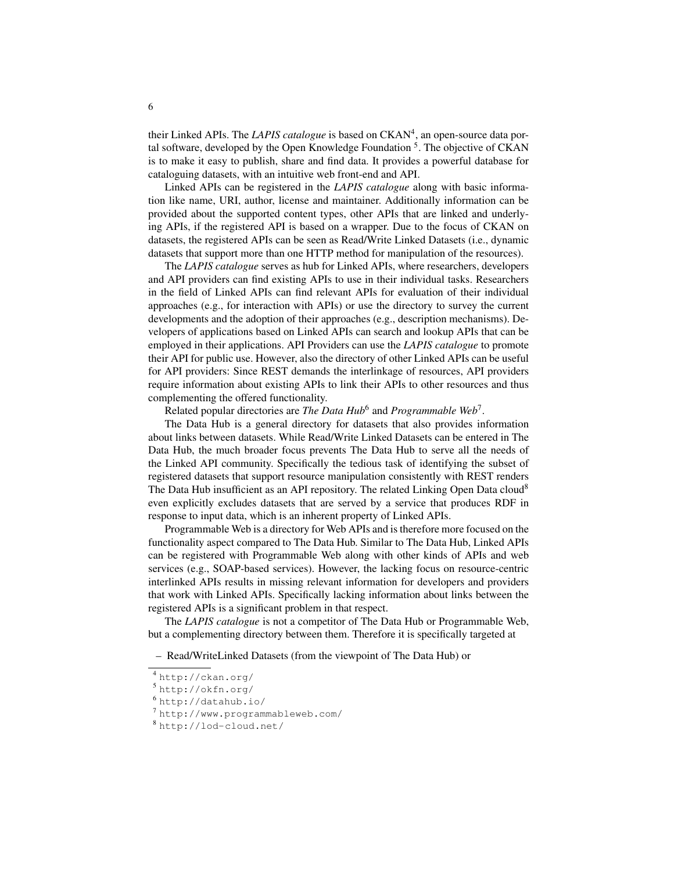their Linked APIs. The *LAPIS catalogue* is based on CKAN<sup>4</sup>, an open-source data portal software, developed by the Open Knowledge Foundation <sup>5</sup>. The objective of CKAN is to make it easy to publish, share and find data. It provides a powerful database for cataloguing datasets, with an intuitive web front-end and API.

Linked APIs can be registered in the *LAPIS catalogue* along with basic information like name, URI, author, license and maintainer. Additionally information can be provided about the supported content types, other APIs that are linked and underlying APIs, if the registered API is based on a wrapper. Due to the focus of CKAN on datasets, the registered APIs can be seen as Read/Write Linked Datasets (i.e., dynamic datasets that support more than one HTTP method for manipulation of the resources).

The *LAPIS catalogue* serves as hub for Linked APIs, where researchers, developers and API providers can find existing APIs to use in their individual tasks. Researchers in the field of Linked APIs can find relevant APIs for evaluation of their individual approaches (e.g., for interaction with APIs) or use the directory to survey the current developments and the adoption of their approaches (e.g., description mechanisms). Developers of applications based on Linked APIs can search and lookup APIs that can be employed in their applications. API Providers can use the *LAPIS catalogue* to promote their API for public use. However, also the directory of other Linked APIs can be useful for API providers: Since REST demands the interlinkage of resources, API providers require information about existing APIs to link their APIs to other resources and thus complementing the offered functionality.

Related popular directories are *The Data Hub*<sup>6</sup> and *Programmable Web*<sup>7</sup> .

The Data Hub is a general directory for datasets that also provides information about links between datasets. While Read/Write Linked Datasets can be entered in The Data Hub, the much broader focus prevents The Data Hub to serve all the needs of the Linked API community. Specifically the tedious task of identifying the subset of registered datasets that support resource manipulation consistently with REST renders The Data Hub insufficient as an API repository. The related Linking Open Data cloud<sup>8</sup> even explicitly excludes datasets that are served by a service that produces RDF in response to input data, which is an inherent property of Linked APIs.

Programmable Web is a directory for Web APIs and is therefore more focused on the functionality aspect compared to The Data Hub. Similar to The Data Hub, Linked APIs can be registered with Programmable Web along with other kinds of APIs and web services (e.g., SOAP-based services). However, the lacking focus on resource-centric interlinked APIs results in missing relevant information for developers and providers that work with Linked APIs. Specifically lacking information about links between the registered APIs is a significant problem in that respect.

The *LAPIS catalogue* is not a competitor of The Data Hub or Programmable Web, but a complementing directory between them. Therefore it is specifically targeted at

– Read/WriteLinked Datasets (from the viewpoint of The Data Hub) or

- <sup>5</sup> http://okfn.org/
- <sup>6</sup> http://datahub.io/

<sup>4</sup> http://ckan.org/

<sup>7</sup> http://www.programmableweb.com/

<sup>8</sup> http://lod-cloud.net/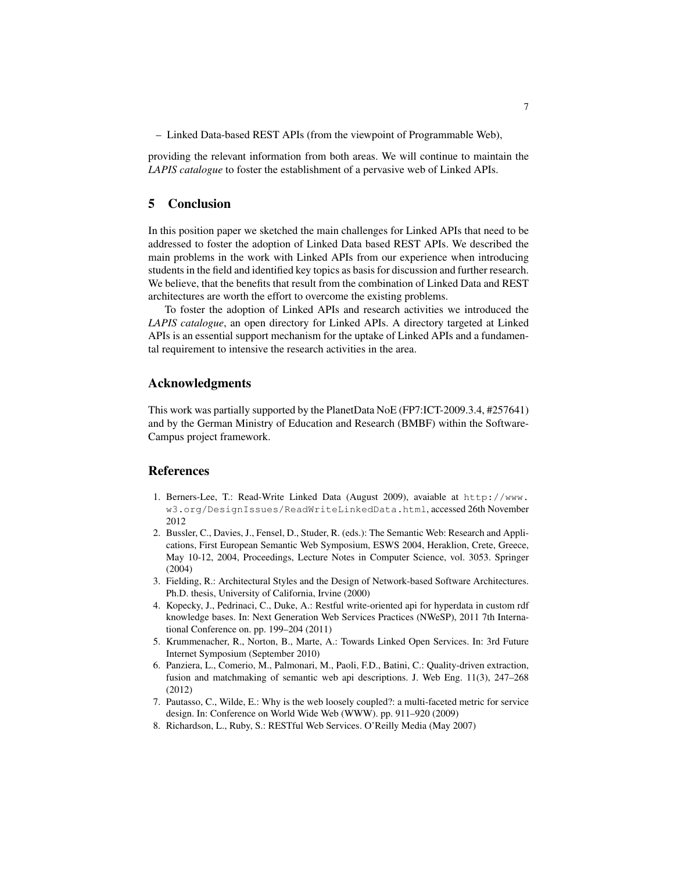– Linked Data-based REST APIs (from the viewpoint of Programmable Web),

providing the relevant information from both areas. We will continue to maintain the *LAPIS catalogue* to foster the establishment of a pervasive web of Linked APIs.

#### 5 Conclusion

In this position paper we sketched the main challenges for Linked APIs that need to be addressed to foster the adoption of Linked Data based REST APIs. We described the main problems in the work with Linked APIs from our experience when introducing students in the field and identified key topics as basis for discussion and further research. We believe, that the benefits that result from the combination of Linked Data and REST architectures are worth the effort to overcome the existing problems.

To foster the adoption of Linked APIs and research activities we introduced the *LAPIS catalogue*, an open directory for Linked APIs. A directory targeted at Linked APIs is an essential support mechanism for the uptake of Linked APIs and a fundamental requirement to intensive the research activities in the area.

#### Acknowledgments

This work was partially supported by the PlanetData NoE (FP7:ICT-2009.3.4, #257641) and by the German Ministry of Education and Research (BMBF) within the Software-Campus project framework.

## References

- 1. Berners-Lee, T.: Read-Write Linked Data (August 2009), avaiable at http://www. w3.org/DesignIssues/ReadWriteLinkedData.html, accessed 26th November 2012
- 2. Bussler, C., Davies, J., Fensel, D., Studer, R. (eds.): The Semantic Web: Research and Applications, First European Semantic Web Symposium, ESWS 2004, Heraklion, Crete, Greece, May 10-12, 2004, Proceedings, Lecture Notes in Computer Science, vol. 3053. Springer (2004)
- 3. Fielding, R.: Architectural Styles and the Design of Network-based Software Architectures. Ph.D. thesis, University of California, Irvine (2000)
- 4. Kopecky, J., Pedrinaci, C., Duke, A.: Restful write-oriented api for hyperdata in custom rdf knowledge bases. In: Next Generation Web Services Practices (NWeSP), 2011 7th International Conference on. pp. 199–204 (2011)
- 5. Krummenacher, R., Norton, B., Marte, A.: Towards Linked Open Services. In: 3rd Future Internet Symposium (September 2010)
- 6. Panziera, L., Comerio, M., Palmonari, M., Paoli, F.D., Batini, C.: Quality-driven extraction, fusion and matchmaking of semantic web api descriptions. J. Web Eng. 11(3), 247–268 (2012)
- 7. Pautasso, C., Wilde, E.: Why is the web loosely coupled?: a multi-faceted metric for service design. In: Conference on World Wide Web (WWW). pp. 911–920 (2009)
- 8. Richardson, L., Ruby, S.: RESTful Web Services. O'Reilly Media (May 2007)